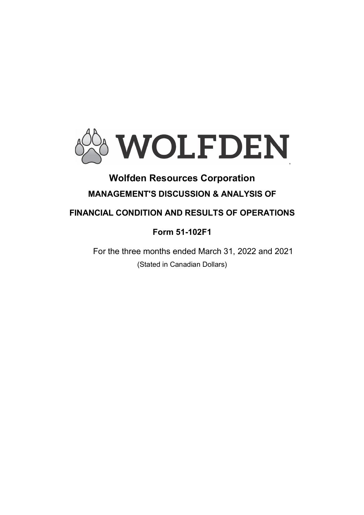

# Wolfden Resources Corporation MANAGEMENT'S DISCUSSION & ANALYSIS OF

# FINANCIAL CONDITION AND RESULTS OF OPERATIONS

# Form 51-102F1

For the three months ended March 31, 2022 and 2021 (Stated in Canadian Dollars)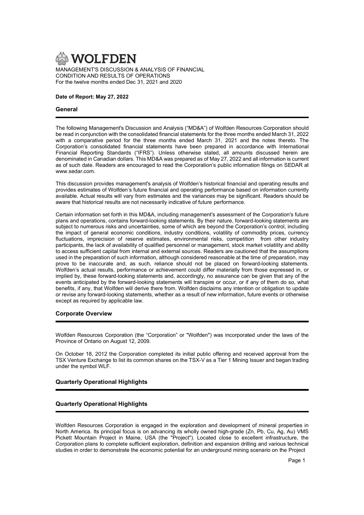

# Date of Report: May 27, 2022

# General

The following Management's Discussion and Analysis ("MD&A") of Wolfden Resources Corporation should be read in conjunction with the consolidated financial statements for the three months ended March 31, 2022 with a comparative period for the three months ended March 31, 2021 and the notes thereto. The Corporation's consolidated financial statements have been prepared in accordance with International Financial Reporting Standards ("IFRS"). Unless otherwise stated, all amounts discussed herein are denominated in Canadian dollars. This MD&A was prepared as of May 27, 2022 and all information is current as of such date. Readers are encouraged to read the Corporation's public information filings on SEDAR at www.sedar.com.

This discussion provides management's analysis of Wolfden's historical financial and operating results and provides estimates of Wolfden's future financial and operating performance based on information currently available. Actual results will vary from estimates and the variances may be significant. Readers should be aware that historical results are not necessarily indicative of future performance.

Certain information set forth in this MD&A, including management's assessment of the Corporation's future plans and operations, contains forward-looking statements. By their nature, forward-looking statements are subject to numerous risks and uncertainties, some of which are beyond the Corporation's control, including the impact of general economic conditions, industry conditions, volatility of commodity prices, currency fluctuations, imprecision of reserve estimates, environmental risks, competition, from other industry participants, the lack of availability of qualified personnel or management, stock market volatility and ability to access sufficient capital from internal and external sources. Readers are cautioned that the assumptions used in the preparation of such information, although considered reasonable at the time of preparation, may prove to be inaccurate and, as such, reliance should not be placed on forward-looking statements. Wolfden's actual results, performance or achievement could differ materially from those expressed in, or implied by, these forward-looking statements and, accordingly, no assurance can be given that any of the events anticipated by the forward-looking statements will transpire or occur, or if any of them do so, what benefits, if any, that Wolfden will derive there from. Wolfden disclaims any intention or obligation to update or revise any forward-looking statements, whether as a result of new information, future events or otherwise except as required by applicable law.

## Corporate Overview

Wolfden Resources Corporation (the "Corporation" or "Wolfden") was incorporated under the laws of the Province of Ontario on August 12, 2009.

On October 18, 2012 the Corporation completed its initial public offering and received approval from the TSX Venture Exchange to list its common shares on the TSX-V as a Tier 1 Mining Issuer and began trading under the symbol WLF.

# Quarterly Operational Highlights

# Quarterly Operational Highlights

Wolfden Resources Corporation is engaged in the exploration and development of mineral properties in North America. Its principal focus is on advancing its wholly owned high-grade (Zn, Pb, Cu, Ag, Au) VMS Pickett Mountain Project in Maine, USA (the "Project"). Located close to excellent infrastructure, the Corporation plans to complete sufficient exploration, definition and expansion drilling and various technical studies in order to demonstrate the economic potential for an underground mining scenario on the Project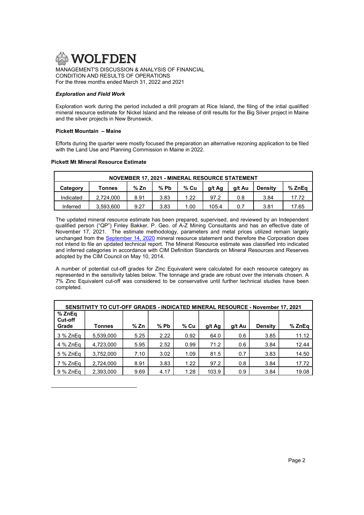

For the three months ended March 31, 2022 and 2021

# Exploration and Field Work

Exploration work during the period included a drill program at Rice Island, the filing of the intial qualified mineral resource estimate for Nickel Island and the release of drill results for the Big Silver project in Maine and the silver projects in New Brunswick.

# Pickett Mountain – Maine

 $\overline{a}$ 

Efforts during the quarter were mostly focused the preparation an alternative rezoning application to be filed with the Land Use and Planning Commission in Maine in 2022.

# Pickett Mt Mineral Resource Estimate

| NOVEMBER 17, 2021 - MINERAL RESOURCE STATEMENT                                             |  |  |  |  |  |  |       |  |  |
|--------------------------------------------------------------------------------------------|--|--|--|--|--|--|-------|--|--|
| % Zn<br>% Cu<br>% Pb<br>g/t Ag<br>% ZnEa<br>a/t Au<br><b>Density</b><br>Category<br>Tonnes |  |  |  |  |  |  |       |  |  |
| 2.724.000<br>3.83<br>1.22<br>8.91<br>Indicated<br>97.2<br>3.84<br>0.8                      |  |  |  |  |  |  | 17.72 |  |  |
| 3.83<br>105.4<br>3.593.600<br>9.27<br>1.00<br>3.81<br>0.7<br>17.65<br>Inferred             |  |  |  |  |  |  |       |  |  |

The updated mineral resource estimate has been prepared, supervised, and reviewed by an Independent qualified person ("QP") Finley Bakker, P. Geo. of A-Z Mining Consultants and has an effective date of November 17, 2021. The estimate methodology, parameters and metal prices utilized remain largely unchanged from the September 14, 2020 mineral resource statement and therefore the Corporation does not intend to file an updated technical report. The Mineral Resource estimate was classified into indicated and inferred categories in accordance with CIM Definition Standards on Mineral Resources and Reserves adopted by the CIM Council on May 10, 2014.

A number of potential cut-off grades for Zinc Equivalent were calculated for each resource category as represented in the sensitivity tables below. The tonnage and grade are robust over the intervals chosen. A 7% Zinc Equivalent cut-off was considered to be conservative until further technical studies have been completed.

| SENSITIVITY TO CUT-OFF GRADES - INDICATED MINERAL RESOURCE - November 17, 2021 |           |      |        |      |        |        |                |        |
|--------------------------------------------------------------------------------|-----------|------|--------|------|--------|--------|----------------|--------|
| % ZnEq<br><b>Cut-off</b><br>Grade                                              | Tonnes    | % Zn | $%$ Pb | % Cu | g/t Ag | g/t Au | <b>Density</b> | % ZnEq |
| 3 % ZnEq                                                                       | 5,539,000 | 5.25 | 2.22   | 0.92 | 64.0   | 0.6    | 3.85           | 11.12  |
| 4 % ZnEa                                                                       | 4,723,000 | 5.95 | 2.52   | 0.99 | 71.2   | 0.6    | 3.84           | 12.44  |
| 5 % ZnEa                                                                       | 3,752,000 | 7.10 | 3.02   | 1.09 | 81.5   | 0.7    | 3.83           | 14.50  |
| 7 % ZnEa                                                                       | 2,724,000 | 8.91 | 3.83   | 1.22 | 97.2   | 0.8    | 3.84           | 17.72  |
| 9 % ZnEa                                                                       | 2,393,000 | 9.69 | 4.17   | 1.28 | 103.9  | 0.9    | 3.84           | 19.08  |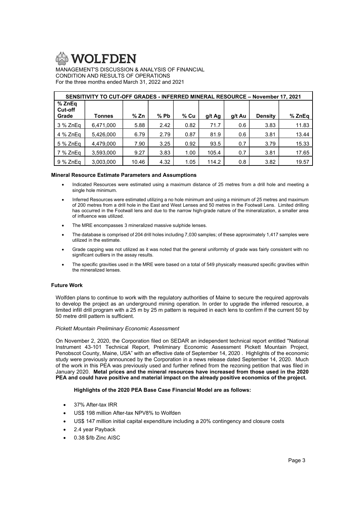

| SENSITIVITY TO CUT-OFF GRADES - INFERRED MINERAL RESOURCE - November 17, 2021 |           |       |        |        |        |        |                |        |
|-------------------------------------------------------------------------------|-----------|-------|--------|--------|--------|--------|----------------|--------|
| % ZnEq<br>Cut-off<br>Grade                                                    | Tonnes    | % Zn  | $%$ Pb | $%$ Cu | g/t Ag | g/t Au | <b>Density</b> | % ZnEq |
| 3 % ZnEq                                                                      | 6,471,000 | 5.88  | 2.42   | 0.82   | 71.7   | 0.6    | 3.83           | 11.83  |
| 4 % ZnEa                                                                      | 5.426.000 | 6.79  | 2.79   | 0.87   | 81.9   | 0.6    | 3.81           | 13.44  |
| 5 % ZnEq                                                                      | 4,479,000 | 7.90  | 3.25   | 0.92   | 93.5   | 0.7    | 3.79           | 15.33  |
| 7 % ZnEq                                                                      | 3,593,000 | 9.27  | 3.83   | 1.00   | 105.4  | 0.7    | 3.81           | 17.65  |
| 9 % ZnEq                                                                      | 3,003,000 | 10.46 | 4.32   | 1.05   | 114.2  | 0.8    | 3.82           | 19.57  |

# Mineral Resource Estimate Parameters and Assumptions

- Indicated Resources were estimated using a maximum distance of 25 metres from a drill hole and meeting a single hole minimum.
- Inferred Resources were estimated utilizing a no hole minimum and using a minimum of 25 metres and maximum of 200 metres from a drill hole in the East and West Lenses and 50 metres in the Footwall Lens. Limited drilling has occurred in the Footwall lens and due to the narrow high-grade nature of the mineralization, a smaller area of influence was utilized.
- The MRE encompasses 3 mineralized massive sulphide lenses.
- The database is comprised of 204 drill holes including 7,030 samples; of these approximately 1,417 samples were utilized in the estimate.
- Grade capping was not utilized as it was noted that the general uniformity of grade was fairly consistent with no significant outliers in the assay results.
- The specific gravities used in the MRE were based on a total of 549 physically measured specific gravities within the mineralized lenses.

# Future Work

Wolfden plans to continue to work with the regulatory authorities of Maine to secure the required approvals to develop the project as an underground mining operation. In order to upgrade the inferred resource, a limited infill drill program with a 25 m by 25 m pattern is required in each lens to confirm if the current 50 by 50 metre drill pattern is sufficient.

## Pickett Mountain Preliminary Economic Assessment

On November 2, 2020, the Corporation filed on SEDAR an independent technical report entitled "National Instrument 43-101 Technical Report, Preliminary Economic Assessment Pickett Mountain Project, Penobscot County, Maine, USA" with an effective date of September 14, 2020 . Highlights of the economic study were previously announced by the Corporation in a news release dated September 14, 2020. Much of the work in this PEA was previously used and further refined from the rezoning petition that was filed in January 2020. Metal prices and the mineral resources have increased from those used in the 2020 PEA and could have positive and material impact on the already positive economics of the project.

# Highlights of the 2020 PEA Base Case Financial Model are as follows:

- 37% After-tax IRR
- US\$ 198 million After-tax NPV8% to Wolfden
- US\$ 147 million initial capital expenditure including a 20% contingency and closure costs
- 2.4 year Payback
- 0.38 \$/lb Zinc AISC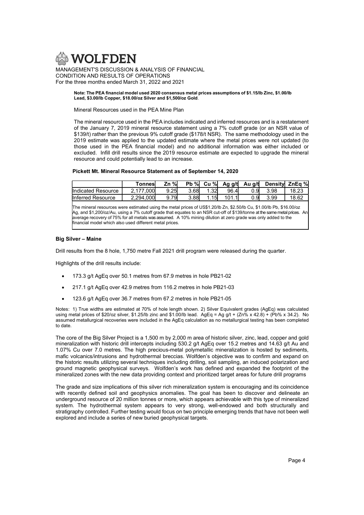

#### Note: The PEA financial model used 2020 consensus metal prices assumptions of \$1.15/lb Zinc, \$1.00/lb Lead, \$3.00/lb Copper, \$18.00/oz Silver and \$1,500/oz Gold.

Mineral Resources used in the PEA Mine Plan

The mineral resource used in the PEA includes indicated and inferred resources and is a restatement of the January 7, 2019 mineral resource statement using a 7% cutoff grade (or an NSR value of \$139/t) rather than the previous 9% cutoff grade (\$178/t NSR). The same methodology used in the 2019 estimate was applied to the updated estimate where the metal prices were not updated (to those used in the PEA financial model) and no additional information was either included or excluded. Infill drill results since the 2019 resource estimate are expected to upgrade the mineral resource and could potentially lead to an increase.

# Pickett Mt. Mineral Resource Statement as of September 14, 2020

|                    | Tonnesi   | Zn %l      | $Pb \, \%$ | Cu %l | Ag g/t | Au g/t |      | Densityl ZnEa % |
|--------------------|-----------|------------|------------|-------|--------|--------|------|-----------------|
| Indicated Resource | 2.177,000 | 9.25       | 3.68l      |       | 96.4   | 0.91   | 3.98 | 18.23           |
| Inferred Resource  | 2.294.000 | 791<br>9.7 | 3.88l      | 15    | 101.1  | 0.91   | 3.99 | 18.62           |

The mineral resources were estimated using the metal prices of US\$1.20/lb Zn, \$2.50/lb Cu, \$1.00/lb Pb, \$16.00/oz Ag, and \$1,200/oz/Au, using a 7% cutoff grade that equates to an NSR cut-off of \$139/tonne at the same metal prices. An average recovery of 75% for all metals was assumed. A 10% mining dilution at zero grade was only added to the financial model which also used different metal prices.

# Big Silver – Maine

Drill results from the 8 hole, 1,750 metre Fall 2021 drill program were released during the quarter.

Highlights of the drill results include:

- 173.3 g/t AgEq over 50.1 metres from 67.9 metres in hole PB21-02
- 217.1 g/t AgEq over 42.9 metres from 116.2 metres in hole PB21-03
- 123.6 g/t AgEq over 36.7 metres from 67.2 metres in hole PB21-05

Notes: 1) True widths are estimated at 70% of hole length shown. 2) Silver Equivalent grades (AgEq) was calculated using metal prices of \$20/oz silver, \$1.25/lb zinc and \$1.00/lb lead. AgEq = Ag g/t + (Zn% x 42.8) + (Pb% x 34.2). No assumed metallurgical recoveries were included in the AgEq calculation as no metallurgical testing has been completed to date.

The core of the Big Silver Project is a 1,500 m by 2,000 m area of historic silver, zinc, lead, copper and gold mineralization with historic drill intercepts including 530.2 g/t AgEq over 15.2 metres and 14.63 g/t Au and 1.07% Cu over 7.0 metres. The high precious-metal polymetallic mineralization is hosted by sediments, mafic volcanics/intrusions and hydrothermal breccias. Wolfden's objective was to confirm and expand on the historic results utilizing several techniques including drilling, soil sampling, an induced polarization and ground magnetic geophysical surveys. Wolfden's work has defined and expanded the footprint of the mineralized zones with the new data providing context and prioritized target areas for future drill programs

The grade and size implications of this silver rich mineralization system is encouraging and its coincidence with recently defined soil and geophysics anomalies. The goal has been to discover and delineate an underground resource of 20 million tonnes or more, which appears achievable with this type of mineralized system. The hydrothermal system appears to very strong, well-endowed and both structurally and stratigraphy controlled. Further testing would focus on two principle emerging trends that have not been well explored and include a series of new buried geophysical targets.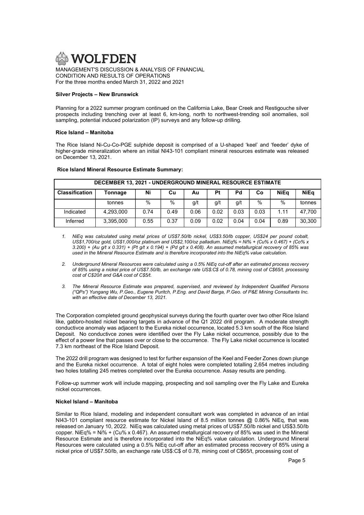

CONDITION AND RESULTS OF OPERATIONS For the three months ended March 31, 2022 and 2021

## Silver Projects – New Brunswick

Planning for a 2022 summer program continued on the California Lake, Bear Creek and Restigouche silver prospects including trenching over at least 6, km-long, north to northwest-trending soil anomalies, soil sampling, potential induced polarization (IP) surveys and any follow-up drilling.

# Rice Island – Manitoba

The Rice Island Ni-Cu-Co-PGE sulphide deposit is comprised of a U-shaped 'keel' and 'feeder' dyke of higher-grade mineralization where an initial NI43-101 compliant mineral resources estimate was released on December 13, 2021.

# Rice Island Mineral Resource Estimate Summary:

| <b>DECEMBER 13, 2021 - UNDERGROUND MINERAL RESOURCE ESTIMATE</b> |           |      |      |      |      |      |      |      |             |
|------------------------------------------------------------------|-----------|------|------|------|------|------|------|------|-------------|
| <b>Classification</b>                                            | Tonnage   | Ni   | Cu   | Au   | Pt   | Pd   | Сo   | NiEa | <b>NiEa</b> |
|                                                                  | tonnes    | $\%$ | $\%$ | g/t  | q/t  | g/t  | $\%$ | $\%$ | tonnes      |
| Indicated                                                        | 4,293,000 | 0.74 | 0.49 | 0.06 | 0.02 | 0.03 | 0.03 | 1.11 | 47.700      |
| Inferred                                                         | 3,395,000 | 0.55 | 0.37 | 0.09 | 0.02 | 0.04 | 0.04 | 0.89 | 30.300      |

- 1. NiEq was calculated using metal prices of US\$7.50/lb nickel, US\$3.50/lb copper, US\$24 per pound cobalt, US\$1,700/oz gold, US\$1,000/oz platinum and US\$2,100/oz palladium. NiEq% = Ni% + (Cu% x 0.467) + (Co% x 3.200) + (Au  $q/t \times 0.331$ ) + (Pt  $q/t \times 0.194$ ) + (Pd  $q/t \times 0.408$ ). An assumed metallurgical recovery of 85% was used in the Mineral Resource Estimate and is therefore incorporated into the NiEq% value calculation.
- 2. Underground Mineral Resources were calculated using a 0.5% NiEq cut-off after an estimated process recovery of 85% using a nickel price of US\$7.50/lb, an exchange rate US\$:C\$ of 0.78, mining cost of C\$65/t, processing cost of C\$20/t and G&A cost of C\$5/t.
- 3. The Mineral Resource Estimate was prepared, supervised, and reviewed by Independent Qualified Persons ("QPs") Yungang Wu, P.Geo., Eugene Puritch, P.Eng. and David Barga, P.Geo. of P&E Mining Consultants Inc. with an effective date of December 13, 2021

The Corporation completed ground geophysical surveys during the fourth quarter over two other Rice Island like, gabbro-hosted nickel bearing targets in advance of the Q1 2022 drill program. A moderate strength conductivce anomaly was adjacent to the Eureka nickel occurrence, located 5.3 km south of the Rice Island Deposit. No conductivce zones were identified over the Fly Lake nickel occurrence, possibly due to the effect of a power line that passes over or close to the occurrence. The Fly Lake nickel occurrence is located 7.3 km northeast of the Rice Island Deposit.

The 2022 drill program was designed to test for further expansion of the Keel and Feeder Zones down plunge and the Eureka nickel occurrence. A total of eight holes were completed totalling 2,654 metres including two holes totalling 245 metres completed over the Eureka occurrence. Assay results are pending.

Follow-up summer work will include mapping, prospecting and soil sampling over the Fly Lake and Eureka nickel occurrences.

## Nickel Island – Manitoba

Similar to Rice Island, modeling and independent consultant work was completed in advance of an intial NI43-101 compliant resource estimate for Nickel Island of 8.5 million tonnes @ 0.86% NiEq, that was released on January 10, 2022. NiEq was calculated using metal prices of US\$7.50/lb nickel and US\$3.50/lb copper. NiEq% = Ni% + (Cu% x 0.467). An assumed metallurgical recovery of 85% was used in the Mineral Resource Estimate and is therefore incorporated into the NiEq% value calculation. Underground Mineral Resources were calculated using a 0.5% NiEq cut-off after an estimated process recovery of 85% using a nickel price of US\$7.50/lb, an exchange rate US\$:C\$ of 0.78, mining cost of C\$65/t, processing cost of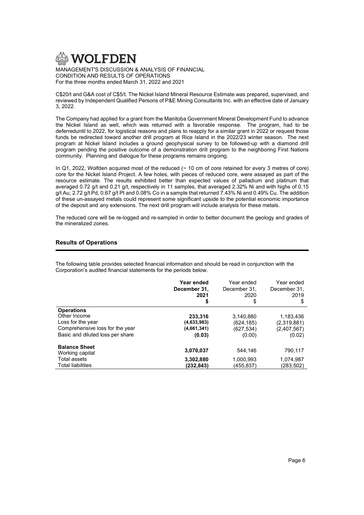

C\$20/t and G&A cost of C\$5/t. The Nickel Island Mineral Resource Estimate was prepared, supervised, and reviewed by Independent Qualified Persons of P&E Mining Consultants Inc. with an effective date of January 3, 2022.

The Company had applied for a grant from the Manitoba Government Mineral Development Fund to advance the Nickel Island as well, which was returned with a favorable response. The program, had to be deferreduntil to 2022, for logistical reasons and plans to reapply for a similar grant in 2022 or request those funds be redirected toward another drill program at Rice Island in the 2022/23 winter season. The next program at Nickel Island includes a ground geophysical survey to be followed-up with a diamond drill program pending the positive outcome of a demonstration drill program to the neighboring First Nations community. Planning and dialogue for these programs remains ongoing.

In Q1, 2022, Wolfden acquired most of the reduced ( $\sim$  10 cm of core retained for every 3 metres of core) core for the Nickel Island Project. A few holes, with pieces of reduced core, were assayed as part of the resource estimate. The results exhibited better than expected values of palladium and platinum that averaged 0.72 g/t and 0.21 g/t, respectively in 11 samples, that averaged 2.32% Ni and with highs of 0.15 g/t Au, 2.72 g/t Pd, 0.67 g/t Pt and 0.08% Co in a sample that returned 7.43% Ni and 0.49% Cu. The addition of these un-assayed metals could represent some significant upside to the potential economic importance of the deposit and any extensions. The next drill program will include analysis for these metals.

The reduced core will be re-logged and re-sampled in order to better document the geology and grades of the mineralized zones.

# Results of Operations

The following table provides selected financial information and should be read in conjunction with the Corporation's audited financial statements for the periods below.

|                                         | Year ended<br>December 31,<br>2021<br>\$ | Year ended<br>December 31.<br>2020<br>\$ | Year ended<br>December 31.<br>2019<br>\$ |
|-----------------------------------------|------------------------------------------|------------------------------------------|------------------------------------------|
| <b>Operations</b>                       |                                          |                                          |                                          |
| Other Income                            | 233.316                                  | 3.140.880                                | 1.183.436                                |
| Loss for the year                       | (4,633,983)                              | (624, 185)                               | (2,319,881)                              |
| Comprehensive loss for the year         | (4,661,341)                              | (627, 534)                               | (2,407,567)                              |
| Basic and diluted loss per share        | (0.03)                                   | (0.00)                                   | (0.02)                                   |
| <b>Balance Sheet</b><br>Working capital | 3,070,037                                | 544.146                                  | 790,117                                  |
| Total assets                            | 3,302,880                                | 1,000,993                                | 1,074,987                                |
| <b>Total liabilities</b>                | (232,843)                                | (455,837)                                | (283,502)                                |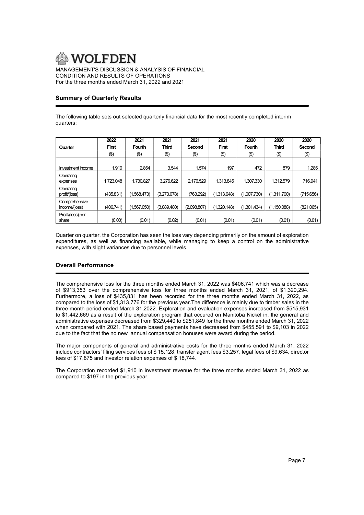

# Summary of Quarterly Results

The following table sets out selected quarterly financial data for the most recently completed interim quarters:

|                                | 2022         | 2021        | 2021         | 2021        | 2021         | 2020        | 2020          | 2020      |
|--------------------------------|--------------|-------------|--------------|-------------|--------------|-------------|---------------|-----------|
| Quarter                        | <b>First</b> | Fourth      | <b>Third</b> | Second      | <b>First</b> | Fourth      | <b>Third</b>  | Second    |
|                                | $(\$)$       | $($ \$)     | $(\$)$       | (\$)        | (\$)         | $(\$)$      | $(\$)$        | (3)       |
|                                |              |             |              |             |              |             |               |           |
| Investment income              | 1.910        | 2.854       | 3,544        | 1,574       | 197          | 472         | 879           | 1,285     |
| Operating                      |              |             |              |             |              |             |               |           |
| expenses                       | 1,723,048    | 1,730,827   | 3,276,622    | 2,176,529   | 1,313,845    | 1,307,330   | 1,312,579     | 716,941   |
| Operating<br>profit/(loss)     | (435, 831)   | (1,568,473) | (3,273,078)  | (763,292)   | (1,313,648)  | (1,007,730) | (1,311,700)   | (715,656) |
| Comprehensive<br>income/(loss) | (406, 741)   | 1,567,050   | (3,089,480)  | (2,098,807) | (1.320.148)  | (1,301,434) | (1, 150, 088) | (821,065) |
| Profit/(loss) per<br>share     | (0.00)       | (0.01)      | (0.02)       | (0.01)      | (0.01)       | (0.01)      | (0.01)        | (0.01)    |

Quarter on quarter, the Corporation has seen the loss vary depending primarily on the amount of exploration expenditures, as well as financing available, while managing to keep a control on the administrative expenses, with slight variances due to personnel levels.

# Overall Performance

The comprehensive loss for the three months ended March 31, 2022 was \$406,741 which was a decrease of \$913,353 over the comprehensive loss for three months ended March 31, 2021, of \$1,320,294. Furthermore, a loss of \$435,831 has been recorded for the three months ended March 31, 2022, as compared to the loss of \$1,313,776 for the previous year.The difference is mainly due to timber sales in the three-month period ended March 31,2022. Exploration and evaluation expenses increased from \$515,931 to \$1,442,669 as a result of the exploration program that occured on Manitoba Nickel in, the general and administrative expenses decreased from \$329,440 to \$251,849 for the three months ended March 31, 2022 when compared with 2021. The share based payments have decreased from \$455,591 to \$9,103 in 2022 due to the fact that the no new annual compensation bonuses were award during the period.

The major components of general and administrative costs for the three months ended March 31, 2022 include contractors' filing services fees of \$ 15,128, transfer agent fees \$3,257, legal fees of \$9,634, director fees of \$17,875 and investor relation expenses of \$ 18,744.

The Corporation recorded \$1,910 in investment revenue for the three months ended March 31, 2022 as compared to \$197 in the previous year.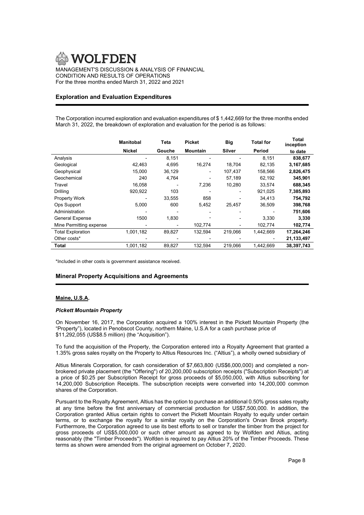# Exploration and Evaluation Expenditures

The Corporation incurred exploration and evaluation expenditures of \$ 1,442,669 for the three months ended March 31, 2022, the breakdown of exploration and evaluation for the period is as follows:

|                          | <b>Manitobal</b> | Teta   | <b>Picket</b>   | <b>Big</b>    | <b>Total for</b> | Total<br>inception |
|--------------------------|------------------|--------|-----------------|---------------|------------------|--------------------|
|                          | Nickel           | Gouche | <b>Mountain</b> | <b>Silver</b> | Period           | to date            |
| Analysis                 |                  | 8,151  |                 |               | 8,151            | 838,677            |
| Geological               | 42,463           | 4,695  | 16,274          | 18,704        | 82,135           | 3,167,685          |
| Geophysical              | 15,000           | 36,129 | $\blacksquare$  | 107,437       | 158,566          | 2,826,475          |
| Geochemical              | 240              | 4,764  |                 | 57,189        | 62,192           | 345,901            |
| Travel                   | 16,058           |        | 7,236           | 10,280        | 33,574           | 688,345            |
| Drilling                 | 920,922          | 103    |                 |               | 921,025          | 7,385,893          |
| <b>Property Work</b>     |                  | 33,555 | 858             |               | 34,413           | 754,792            |
| Ops Support              | 5,000            | 600    | 5,452           | 25,457        | 36,509           | 398,768            |
| Administration           |                  |        |                 |               |                  | 751,606            |
| <b>General Expense</b>   | 1500             | 1,830  |                 |               | 3,330            | 3,330              |
| Mine Permitting expense  |                  |        | 102,774         |               | 102,774          | 102,774            |
| <b>Total Exploration</b> | 1,001,182        | 89,827 | 132,594         | 219,066       | 1,442,669        | 17,264,246         |
| Other costs*             |                  |        |                 |               |                  | 21,133,497         |
| Total                    | 1,001,182        | 89,827 | 132,594         | 219,066       | 1,442,669        | 38,397,743         |

\*Included in other costs is government assistance received.

# Mineral Property Acquisitions and Agreements

# Maine, U.S.A.

## Pickett Mountain Property

On November 16, 2017, the Corporation acquired a 100% interest in the Pickett Mountain Property (the "Property"), located in Penobscot County, northern Maine, U.S.A for a cash purchase price of \$11,292,055 (US\$8.5 million) (the "Acquisition").

To fund the acquisition of the Property, the Corporation entered into a Royalty Agreement that granted a 1.35% gross sales royalty on the Property to Altius Resources Inc. ("Altius"), a wholly owned subsidiary of

Altius Minerals Corporation, for cash consideration of \$7,663,800 (US\$6,000,000) and completed a nonbrokered private placement (the "Offering") of 20,200,000 subscription receipts ("Subscription Receipts") at a price of \$0.25 per Subscription Receipt for gross proceeds of \$5,050,000, with Altius subscribing for 14,200,000 Subscription Receipts. The subscription receipts were converted into 14,200,000 common shares of the Corporation.

Pursuant to the Royalty Agreement, Altius has the option to purchase an additional 0.50% gross sales royalty at any time before the first anniversary of commercial production for US\$7,500,000. In addition, the Corporation granted Altius certain rights to convert the Pickett Mountain Royalty to equity under certain terms, or to exchange the royalty for a similar royalty on the Corporation's Orvan Brook property. Furthermore, the Corporation agreed to use its best efforts to sell or transfer the timber from the project for gross proceeds of US\$5,000,000 or such other amount as agreed to by Wolfden and Altius, acting reasonably (the "Timber Proceeds"). Wolfden is required to pay Altius 20% of the Timber Proceeds. These terms as shown were amended from the original agreement on October 7, 2020.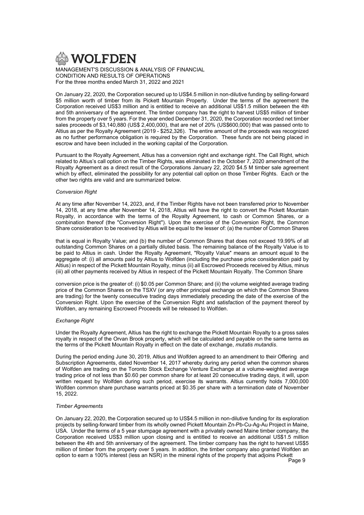

On January 22, 2020, the Corporation secured up to US\$4.5 million in non-dilutive funding by selling-forward \$5 million worth of timber from its Pickett Mountain Property. Under the terms of the agreement the Corporation received US\$3 million and is entitled to receive an additional US\$1.5 million between the 4th and 5th anniversary of the agreement. The timber company has the right to harvest US\$5 million of timber from the property over 5 years. For the year ended December 31, 2020, the Corporation recorded net timber sales proceeds of \$3,140,880 (US\$ 2,400,000), that are net of 20% (US\$600,000) that was passed onto to Altius as per the Royalty Agreement (2019 - \$252,326). The entire amount of the proceeds was recognized as no further performance obligation is required by the Corporation. These funds are not being placed in escrow and have been included in the working capital of the Corporation.

Pursuant to the Royalty Agreement, Altius has a conversion right and exchange right. The Call Right, which related to Altius's call option on the Timber Rights, was eliminated in the October 7, 2020 amendment of the Royalty Agreement as a direct result of the Corporations January 22, 2020 \$4.5 M timber sale agreement which by effect, eliminated the possibility for any potential call option on those Timber Rights. Each or the other two rights are valid and are summarized below.

## Conversion Right

At any time after November 14, 2023, and, if the Timber Rights have not been transferred prior to November 14, 2018, at any time after November 14, 2018, Altius will have the right to convert the Pickett Mountain Royalty, in accordance with the terms of the Royalty Agreement, to cash or Common Shares, or a combination thereof (the "Conversion Right"). Upon the exercise of the Conversion Right, the Common Share consideration to be received by Altius will be equal to the lesser of: (a) the number of Common Shares

that is equal in Royalty Value; and (b) the number of Common Shares that does not exceed 19.99% of all outstanding Common Shares on a partially diluted basis. The remaining balance of the Royalty Value is to be paid to Altius in cash. Under the Royalty Agreement, "Royalty Value" means an amount equal to the aggregate of: (i) all amounts paid by Altius to Wolfden (including the purchase price consideration paid by Altius) in respect of the Pickett Mountain Royalty, minus (ii) all Escrowed Proceeds received by Altius, minus (iii) all other payments received by Altius in respect of the Pickett Mountain Royalty. The Common Share

conversion price is the greater of: (i) \$0.05 per Common Share; and (ii) the volume weighted average trading price of the Common Shares on the TSXV (or any other principal exchange on which the Common Shares are trading) for the twenty consecutive trading days immediately preceding the date of the exercise of the Conversion Right. Upon the exercise of the Conversion Right and satisfaction of the payment thereof by Wolfden, any remaining Escrowed Proceeds will be released to Wolfden.

## Exchange Right

Under the Royalty Agreement, Altius has the right to exchange the Pickett Mountain Royalty to a gross sales royalty in respect of the Orvan Brook property, which will be calculated and payable on the same terms as the terms of the Pickett Mountain Royalty in effect on the date of exchange, mutatis mutandis.

During the period ending June 30, 2019, Altius and Wolfden agreed to an amendment to their Offering and Subscription Agreements, dated November 14, 2017 whereby during any period when the common shares of Wolfden are trading on the Toronto Stock Exchange Venture Exchange at a volume-weighted average trading price of not less than \$0.60 per common share for at least 20 consecutive trading days, it will, upon written request by Wolfden during such period, exercise its warrants. Altius currently holds 7,000,000 Wolfden common share purchase warrants priced at \$0.35 per share with a termination date of November 15, 2022.

# Timber Agreements

On January 22, 2020, the Corporation secured up to US\$4.5 million in non-dilutive funding for its exploration projects by selling-forward timber from its wholly owned Pickett Mountain Zn-Pb-Cu-Ag-Au Project in Maine, USA. Under the terms of a 5 year stumpage agreement with a privately owned Maine timber company, the Corporation received US\$3 million upon closing and is entitled to receive an additional US\$1.5 million between the 4th and 5th anniversary of the agreement. The timber company has the right to harvest US\$5 million of timber from the property over 5 years. In addition, the timber company also granted Wolfden an option to earn a 100% interest (less an NSR) in the mineral rights of the property that adjoins Pickett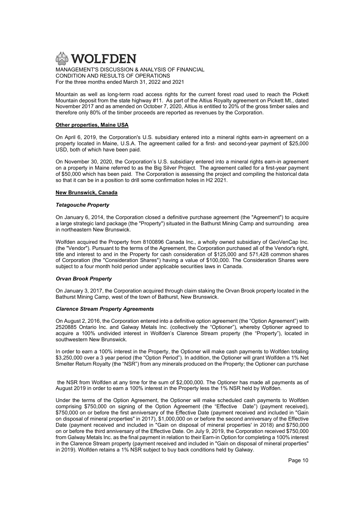

Mountain as well as long-term road access rights for the current forest road used to reach the Pickett Mountain deposit from the state highway #11. As part of the Altius Royalty agreement on Pickett Mt., dated November 2017 and as amended on October 7, 2020, Altius is entitled to 20% of the gross timber sales and therefore only 80% of the timber proceeds are reported as revenues by the Corporation.

# Other properties, Maine USA

On April 6, 2019, the Corporation's U.S. subsidiary entered into a mineral rights earn-in agreement on a property located in Maine, U.S.A. The agreement called for a first- and second-year payment of \$25,000 USD, both of which have been paid.

On November 30, 2020, the Corporation's U.S. subsidiary entered into a mineral rights earn-in agreement on a property in Maine referred to as the Big Silver Project. The agreement called for a first-year payment of \$50,000 which has been paid. The Corporation is assessing the project and compiling the historical data so that it can be in a position to drill some confirmation holes in H2 2021.

# New Brunswick, Canada

## Tetagouche Property

On January 6, 2014, the Corporation closed a definitive purchase agreement (the "Agreement") to acquire a large strategic land package (the "Property") situated in the Bathurst Mining Camp and surrounding area in northeastern New Brunswick.

Wolfden acquired the Property from 8100896 Canada Inc., a wholly owned subsidiary of GeoVenCap Inc. (the "Vendor"). Pursuant to the terms of the Agreement, the Corporation purchased all of the Vendor's right, title and interest to and in the Property for cash consideration of \$125,000 and 571,428 common shares of Corporation (the "Consideration Shares") having a value of \$100,000. The Consideration Shares were subject to a four month hold period under applicable securities laws in Canada.

## Orvan Brook Property

On January 3, 2017, the Corporation acquired through claim staking the Orvan Brook property located in the Bathurst Mining Camp, west of the town of Bathurst, New Brunswick.

# Clarence Stream Property Agreements

On August 2, 2016, the Corporation entered into a definitive option agreement (the "Option Agreement") with 2520885 Ontario Inc. and Galway Metals Inc. (collectively the "Optioner"), whereby Optioner agreed to acquire a 100% undivided interest in Wolfden's Clarence Stream property (the "Property"), located in southwestern New Brunswick.

In order to earn a 100% interest in the Property, the Optioner will make cash payments to Wolfden totaling \$3,250,000 over a 3 year period (the "Option Period"). In addition, the Optioner will grant Wolfden a 1% Net Smelter Return Royalty (the "NSR") from any minerals produced on the Property; the Optioner can purchase

 the NSR from Wolfden at any time for the sum of \$2,000,000. The Optioner has made all payments as of August 2019 in order to earn a 100% interest in the Property less the 1% NSR held by Wolfden.

Under the terms of the Option Agreement, the Optioner will make scheduled cash payments to Wolfden comprising \$750,000 on signing of the Option Agreement (the "Effective Date") (payment received), \$750,000 on or before the first anniversary of the Effective Date (payment received and included in "Gain on disposal of mineral properties" in 2017), \$1,000,000 on or before the second anniversary of the Effective Date (payment received and included in "Gain on disposal of mineral properties' in 2018) and \$750,000 on or before the third anniversary of the Effective Date. On July 9, 2019, the Corporation received \$750,000 from Galway Metals Inc. as the final payment in relation to their Earn-in Option for completing a 100% interest in the Clarence Stream property (payment received and included in "Gain on disposal of mineral properties" in 2019). Wolfden retains a 1% NSR subject to buy back conditions held by Galway.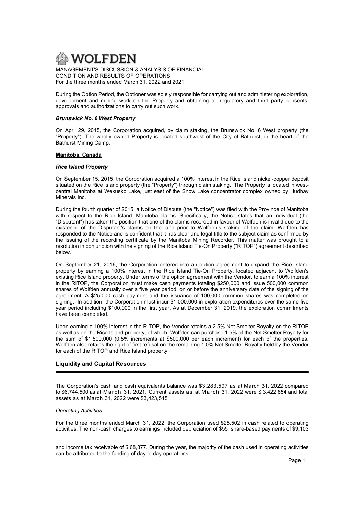

During the Option Period, the Optioner was solely responsible for carrying out and administering exploration, development and mining work on the Property and obtaining all regulatory and third party consents, approvals and authorizations to carry out such work.

## Brunswick No. 6 West Property

On April 29, 2015, the Corporation acquired, by claim staking, the Brunswick No. 6 West property (the "Property"). The wholly owned Property is located southwest of the City of Bathurst, in the heart of the Bathurst Mining Camp.

# Manitoba, Canada

# Rice Island Property

On September 15, 2015, the Corporation acquired a 100% interest in the Rice Island nickel-copper deposit situated on the Rice Island property (the "Property") through claim staking. The Property is located in westcentral Manitoba at Wekusko Lake, just east of the Snow Lake concentrator complex owned by Hudbay Minerals Inc.

During the fourth quarter of 2015, a Notice of Dispute (the "Notice") was filed with the Province of Manitoba with respect to the Rice Island, Manitoba claims. Specifically, the Notice states that an individual (the "Disputant") has taken the position that one of the claims recorded in favour of Wolfden is invalid due to the existence of the Disputant's claims on the land prior to Wolfden's staking of the claim. Wolfden has responded to the Notice and is confident that it has clear and legal title to the subject claim as confirmed by the issuing of the recording certificate by the Manitoba Mining Recorder. This matter was brought to a resolution in conjunction with the signing of the Rice Island Tie-On Property ("RITOP") agreement described below.

On September 21, 2016, the Corporation entered into an option agreement to expand the Rice Island property by earning a 100% interest in the Rice Island Tie-On Property, located adjacent to Wolfden's existing Rice Island property. Under terms of the option agreement with the Vendor, to earn a 100% interest in the RITOP, the Corporation must make cash payments totaling \$250,000 and issue 500,000 common shares of Wolfden annually over a five year period, on or before the anniversary date of the signing of the agreement. A \$25,000 cash payment and the issuance of 100,000 common shares was completed on signing. In addition, the Corporation must incur \$1,000,000 in exploration expenditures over the same five year period including \$100,000 in the first year. As at December 31, 2019, the exploration commitments have been completed.

Upon earning a 100% interest in the RITOP, the Vendor retains a 2.5% Net Smelter Royalty on the RITOP as well as on the Rice Island property; of which, Wolfden can purchase 1.5% of the Net Smelter Royalty for the sum of \$1,500,000 (0.5% increments at \$500,000 per each increment) for each of the properties. Wolfden also retains the right of first refusal on the remaining 1.0% Net Smelter Royalty held by the Vendor for each of the RITOP and Rice Island property.

# Liquidity and Capital Resources

The Corporation's cash and cash equivalents balance was \$3,283,597 as at March 31, 2022 compared to \$6,744,500 as at March 31, 2021. Current assets as at March 31, 2022 were \$3,422,854 and total assets as at March 31, 2022 were \$3,423,545

## Operating Activities

For the three months ended March 31, 2022, the Corporation used \$25,502 in cash related to operating activities. The non-cash charges to earnings included depreciation of \$55 ,share-based payments of \$9,103

and income tax receivable of \$ 68,877. During the year, the majority of the cash used in operating activities can be attributed to the funding of day to day operations.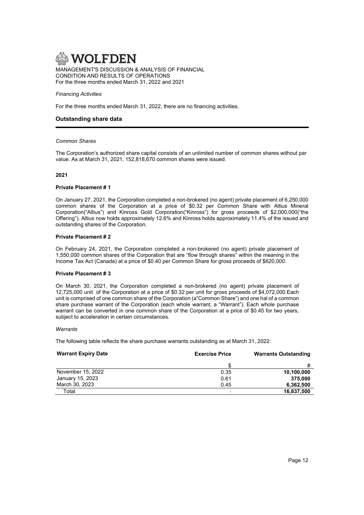#### Financing Activities

For the three months ended March 31, 2022, there are no financing activities.

# Outstanding share data

#### Common Shares

The Corporation's authorized share capital consists of an unlimited number of common shares without par value. As at March 31, 2021, 152,818,670 common shares were issued.

#### 2021

#### Private Placement # 1

On January 27, 2021, the Corporation completed a non-brokered (no agent) private placement of 6,250,000 common shares of the Corporation at a price of \$0.32 per Common Share with Altius Mineral Corporation("Altius") and Kinross Gold Corporation("Kinross") for gross proceeds of \$2,000,000("the Offering"). Altius now holds approximately 12.6% and Kinross holds approximately 11.4% of the issued and outstanding shares of the Corporation.

#### Private Placement # 2

On February 24, 2021, the Corporation completed a non-brokered (no agent) private placement of 1,550,000 common shares of the Corporation that are "flow through shares" within the meaning in the Income Tax Act (Canada) at a price of \$0.40 per Common Share for gross proceeds of \$620,000.

## Private Placement # 3

On March 30, 2021, the Corporation completed a non-brokered (no agent) private placement of 12,725,000 unit of the Corporation at a price of \$0.32 per unit for gross proceeds of \$4,072,000.Each unit is comprised of one common share of the Corporation (a"Common Share") and one hal of a common share purchase warrant of the Corporation (each whole warrant, a "Warrant"). Each whole purchase warrant can be converted in one common share of the Corporation at a price of \$0.45 for two years, subject to acceleration in certain circumstances.

## **Warrants**

The following table reflects the share purchase warrants outstanding as at March 31, 2022:

| <b>Warrant Expiry Date</b> | <b>Exercise Price</b> | <b>Warrants Outstanding</b> |
|----------------------------|-----------------------|-----------------------------|
|                            |                       | #                           |
| November 15, 2022          | 0.35                  | 10,100,000                  |
| January 15, 2023           | 0.61                  | 375.000                     |
| March 30, 2023             | 0.45                  | 6.362.500                   |
| Total                      |                       | 16,837,500                  |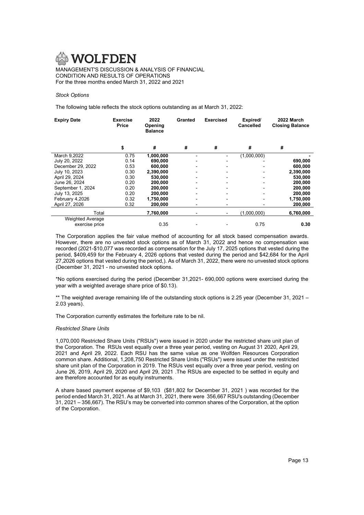## Stock Options

The following table reflects the stock options outstanding as at March 31, 2022:

| <b>Expiry Date</b>      | <b>Exercise</b><br><b>Price</b> | 2022<br>Opening<br><b>Balance</b> | Granted                  | <b>Exercised</b> | Expired/<br><b>Cancelled</b> | 2022 March<br><b>Closing Balance</b> |
|-------------------------|---------------------------------|-----------------------------------|--------------------------|------------------|------------------------------|--------------------------------------|
|                         | \$                              | #                                 | #                        | #                | #                            | #                                    |
| March 9.2022            | 0.75                            | 1.000.000                         |                          |                  | (1,000,000)                  |                                      |
| July 20, 2022           | 0.14                            | 690,000                           |                          |                  |                              | 690,000                              |
| December 29, 2022       | 0.53                            | 600,000                           |                          |                  |                              | 600,000                              |
| July 10, 2023           | 0.30                            | 2,390,000                         |                          |                  |                              | 2,390,000                            |
| April 29, 2024          | 0.30                            | 530,000                           |                          |                  |                              | 530,000                              |
| June 26, 2024           | 0.20                            | 200,000                           |                          |                  |                              | 200,000                              |
| September 1, 2024       | 0.20                            | 200,000                           |                          |                  |                              | 200,000                              |
| July 13, 2025           | 0.20                            | 200,000                           | $\overline{\phantom{0}}$ |                  |                              | 200,000                              |
| February 4,2026         | 0.32                            | 1,750,000                         |                          |                  |                              | 1,750,000                            |
| April 27, 2026          | 0.32                            | 200,000                           |                          |                  |                              | 200,000                              |
| Total                   |                                 | 7,760,000                         |                          | ۰.               | (1,000,000)                  | 6,760,000                            |
| <b>Weighted Average</b> |                                 |                                   |                          |                  |                              |                                      |
| exercise price          |                                 | 0.35                              |                          |                  | 0.75                         | 0.30                                 |

The Corporation applies the fair value method of accounting for all stock based compensation awards. However, there are no unvested stock options as of March 31, 2022 and hence no compensation was recorded (2021-\$10,077 was recorded as compensation for the July 17, 2025 options that vested during the period, \$409,459 for the February 4, 2026 options that vested during the period and \$42,684 for the April 27,2026 options that vested during the period,). As of March 31, 2022, there were no unvested stock options (December 31, 2021 - no unvested stock options.

\*No options exercised during the period (December 31,2021- 690,000 options were exercised during the year with a weighted average share price of \$0.13).

\*\* The weighted average remaining life of the outstanding stock options is 2.25 year (December 31, 2021 – 2.03 years).

The Corporation currently estimates the forfeiture rate to be nil.

## Restricted Share Units

1,070,000 Restricted Share Units ("RSUs") were issued in 2020 under the restricted share unit plan of the Corporation. The RSUs vest equally over a three year period, vesting on August 31 2020, April 29, 2021 and April 29, 2022. Each RSU has the same value as one Wolfden Resources Corporation common share. Additional, 1,208,750 Restricted Share Units ("RSUs") were issued under the restricted share unit plan of the Corporation in 2019. The RSUs vest equally over a three year period, vesting on June 26, 2019, April 29, 2020 and April 29, 2021 .The RSUs are expected to be settled in equity and are therefore accounted for as equity instruments.

A share based payment expense of \$9,103 (\$81,802 for December 31, 2021 ) was recorded for the period ended March 31, 2021. As at March 31, 2021, there were 356,667 RSU's outstanding (December 31, 2021 – 356,667). The RSU's may be converted into common shares of the Corporation, at the option of the Corporation.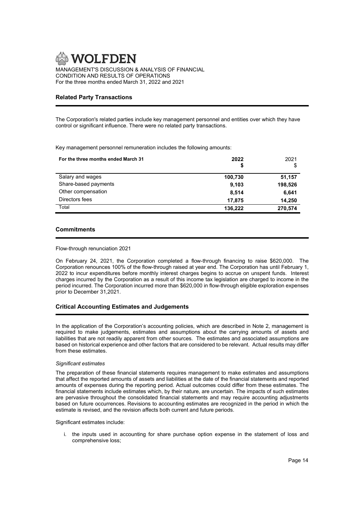

CONDITION AND RESULTS OF OPERATIONS For the three months ended March 31, 2022 and 2021

# Related Party Transactions

The Corporation's related parties include key management personnel and entities over which they have control or significant influence. There were no related party transactions.

Key management personnel remuneration includes the following amounts:

| For the three months ended March 31 | 2022<br>S | 2021<br>S |
|-------------------------------------|-----------|-----------|
| Salary and wages                    | 100,730   | 51,157    |
| Share-based payments                | 9.103     | 198,526   |
| Other compensation                  | 8.514     | 6.641     |
| Directors fees                      | 17.875    | 14,250    |
| Total                               | 136.222   | 270,574   |

# **Commitments**

# Flow-through renunciation 2021

On February 24, 2021, the Corporation completed a flow-through financing to raise \$620,000. The Corporation renounces 100% of the flow-through raised at year end. The Corporation has until February 1, 2022 to incur expenditures before monthly interest charges begins to accrue on unspent funds. Interest charges incurred by the Corporation as a result of this income tax legislation are charged to income in the period incurred. The Corporation incurred more than \$620,000 in flow-through eligible exploration expenses prior to December 31,2021.

# Critical Accounting Estimates and Judgements

In the application of the Corporation's accounting policies, which are described in Note 2, management is required to make judgements, estimates and assumptions about the carrying amounts of assets and liabilities that are not readily apparent from other sources. The estimates and associated assumptions are based on historical experience and other factors that are considered to be relevant. Actual results may differ from these estimates.

## Significant estimates

The preparation of these financial statements requires management to make estimates and assumptions that affect the reported amounts of assets and liabilities at the date of the financial statements and reported amounts of expenses during the reporting period. Actual outcomes could differ from these estimates. The financial statements include estimates which, by their nature, are uncertain. The impacts of such estimates are pervasive throughout the consolidated financial statements and may require accounting adjustments based on future occurrences. Revisions to accounting estimates are recognized in the period in which the estimate is revised, and the revision affects both current and future periods.

Significant estimates include:

i. the inputs used in accounting for share purchase option expense in the statement of loss and comprehensive loss;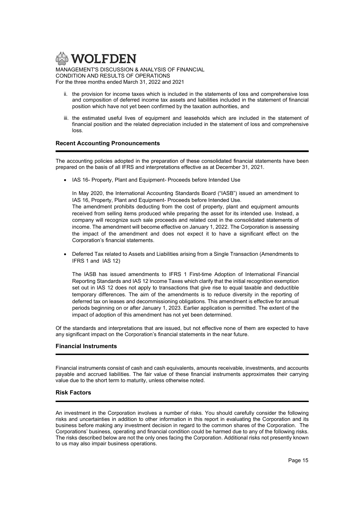

- ii. the provision for income taxes which is included in the statements of loss and comprehensive loss and composition of deferred income tax assets and liabilities included in the statement of financial position which have not yet been confirmed by the taxation authorities, and
- iii. the estimated useful lives of equipment and leaseholds which are included in the statement of financial position and the related depreciation included in the statement of loss and comprehensive loss.

# Recent Accounting Pronouncements

The accounting policies adopted in the preparation of these consolidated financial statements have been prepared on the basis of all IFRS and interpretations effective as at December 31, 2021.

• IAS 16- Property, Plant and Equipment- Proceeds before Intended Use

In May 2020, the International Accounting Standards Board ("IASB") issued an amendment to IAS 16, Property, Plant and Equipment- Proceeds before Intended Use.

The amendment prohibits deducting from the cost of property, plant and equipment amounts received from selling items produced while preparing the asset for its intended use. Instead, a company will recognize such sale proceeds and related cost in the consolidated statements of income. The amendment will become effective on January 1, 2022. The Corporation is assessing the impact of the amendment and does not expect it to have a significant effect on the Corporation's financial statements.

 Deferred Tax related to Assets and Liabilities arising from a Single Transaction (Amendments to IFRS 1 and IAS 12)

 The IASB has issued amendments to IFRS 1 First-time Adoption of International Financial Reporting Standards and IAS 12 Income Taxes which clarify that the initial recognition exemption set out in IAS 12 does not apply to transactions that give rise to equal taxable and deductible temporary differences. The aim of the amendments is to reduce diversity in the reporting of deferred tax on leases and decommissioning obligations. This amendment is effective for annual periods beginning on or after January 1, 2023. Earlier application is permitted. The extent of the impact of adoption of this amendment has not yet been determined.

Of the standards and interpretations that are issued, but not effective none of them are expected to have any significant impact on the Corporation's financial statements in the near future.

# Financial Instruments

Financial instruments consist of cash and cash equivalents, amounts receivable, investments, and accounts payable and accrued liabilities. The fair value of these financial instruments approximates their carrying value due to the short term to maturity, unless otherwise noted.

# Risk Factors

An investment in the Corporation involves a number of risks. You should carefully consider the following risks and uncertainties in addition to other information in this report in evaluating the Corporation and its business before making any investment decision in regard to the common shares of the Corporation. The Corporations' business, operating and financial condition could be harmed due to any of the following risks. The risks described below are not the only ones facing the Corporation. Additional risks not presently known to us may also impair business operations.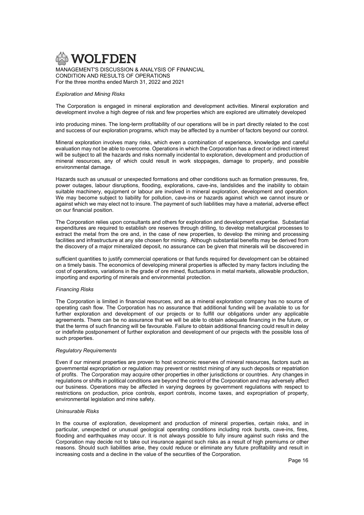

CONDITION AND RESULTS OF OPERATIONS For the three months ended March 31, 2022 and 2021

## Exploration and Mining Risks

The Corporation is engaged in mineral exploration and development activities. Mineral exploration and development involve a high degree of risk and few properties which are explored are ultimately developed

into producing mines. The long-term profitability of our operations will be in part directly related to the cost and success of our exploration programs, which may be affected by a number of factors beyond our control.

Mineral exploration involves many risks, which even a combination of experience, knowledge and careful evaluation may not be able to overcome. Operations in which the Corporation has a direct or indirect interest will be subject to all the hazards and risks normally incidental to exploration, development and production of mineral resources, any of which could result in work stoppages, damage to property, and possible environmental damage.

Hazards such as unusual or unexpected formations and other conditions such as formation pressures, fire, power outages, labour disruptions, flooding, explorations, cave-ins, landslides and the inability to obtain suitable machinery, equipment or labour are involved in mineral exploration, development and operation. We may become subject to liability for pollution, cave-ins or hazards against which we cannot insure or against which we may elect not to insure. The payment of such liabilities may have a material, adverse effect on our financial position.

The Corporation relies upon consultants and others for exploration and development expertise. Substantial expenditures are required to establish ore reserves through drilling, to develop metallurgical processes to extract the metal from the ore and, in the case of new properties, to develop the mining and processing facilities and infrastructure at any site chosen for mining. Although substantial benefits may be derived from the discovery of a major mineralized deposit, no assurance can be given that minerals will be discovered in

sufficient quantities to justify commercial operations or that funds required for development can be obtained on a timely basis. The economics of developing mineral properties is affected by many factors including the cost of operations, variations in the grade of ore mined, fluctuations in metal markets, allowable production, importing and exporting of minerals and environmental protection.

## Financing Risks

The Corporation is limited in financial resources, and as a mineral exploration company has no source of operating cash flow. The Corporation has no assurance that additional funding will be available to us for further exploration and development of our projects or to fulfill our obligations under any applicable agreements. There can be no assurance that we will be able to obtain adequate financing in the future, or that the terms of such financing will be favourable. Failure to obtain additional financing could result in delay or indefinite postponement of further exploration and development of our projects with the possible loss of such properties.

## Regulatory Requirements

Even if our mineral properties are proven to host economic reserves of mineral resources, factors such as governmental expropriation or regulation may prevent or restrict mining of any such deposits or repatriation of profits. The Corporation may acquire other properties in other jurisdictions or countries. Any changes in regulations or shifts in political conditions are beyond the control of the Corporation and may adversely affect our business. Operations may be affected in varying degrees by government regulations with respect to restrictions on production, price controls, export controls, income taxes, and expropriation of property, environmental legislation and mine safety.

# Uninsurable Risks

In the course of exploration, development and production of mineral properties, certain risks, and in particular, unexpected or unusual geological operating conditions including rock bursts, cave-ins, fires, flooding and earthquakes may occur. It is not always possible to fully insure against such risks and the Corporation may decide not to take out insurance against such risks as a result of high premiums or other reasons. Should such liabilities arise, they could reduce or eliminate any future profitability and result in increasing costs and a decline in the value of the securities of the Corporation.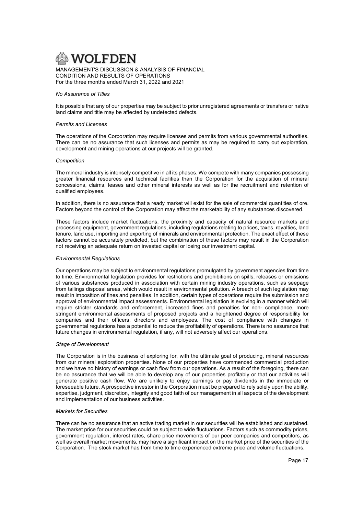

#### No Assurance of Titles

It is possible that any of our properties may be subject to prior unregistered agreements or transfers or native land claims and title may be affected by undetected defects.

#### Permits and Licenses

The operations of the Corporation may require licenses and permits from various governmental authorities. There can be no assurance that such licenses and permits as may be required to carry out exploration, development and mining operations at our projects will be granted.

#### **Competition**

The mineral industry is intensely competitive in all its phases. We compete with many companies possessing greater financial resources and technical facilities than the Corporation for the acquisition of mineral concessions, claims, leases and other mineral interests as well as for the recruitment and retention of qualified employees.

In addition, there is no assurance that a ready market will exist for the sale of commercial quantities of ore. Factors beyond the control of the Corporation may affect the marketability of any substances discovered.

These factors include market fluctuations, the proximity and capacity of natural resource markets and processing equipment, government regulations, including regulations relating to prices, taxes, royalties, land tenure, land use, importing and exporting of minerals and environmental protection. The exact effect of these factors cannot be accurately predicted, but the combination of these factors may result in the Corporation not receiving an adequate return on invested capital or losing our investment capital.

## Environmental Regulations

Our operations may be subject to environmental regulations promulgated by government agencies from time to time. Environmental legislation provides for restrictions and prohibitions on spills, releases or emissions of various substances produced in association with certain mining industry operations, such as seepage from tailings disposal areas, which would result in environmental pollution. A breach of such legislation may result in imposition of fines and penalties. In addition, certain types of operations require the submission and approval of environmental impact assessments. Environmental legislation is evolving in a manner which will require stricter standards and enforcement, increased fines and penalties for non- compliance, more stringent environmental assessments of proposed projects and a heightened degree of responsibility for companies and their officers, directors and employees. The cost of compliance with changes in governmental regulations has a potential to reduce the profitability of operations. There is no assurance that future changes in environmental regulation, if any, will not adversely affect our operations.

#### Stage of Development

The Corporation is in the business of exploring for, with the ultimate goal of producing, mineral resources from our mineral exploration properties. None of our properties have commenced commercial production and we have no history of earnings or cash flow from our operations. As a result of the foregoing, there can be no assurance that we will be able to develop any of our properties profitably or that our activities will generate positive cash flow. We are unlikely to enjoy earnings or pay dividends in the immediate or foreseeable future. A prospective investor in the Corporation must be prepared to rely solely upon the ability, expertise, judgment, discretion, integrity and good faith of our management in all aspects of the development and implementation of our business activities.

#### Markets for Securities

There can be no assurance that an active trading market in our securities will be established and sustained. The market price for our securities could be subject to wide fluctuations. Factors such as commodity prices, government regulation, interest rates, share price movements of our peer companies and competitors, as well as overall market movements, may have a significant impact on the market price of the securities of the Corporation. The stock market has from time to time experienced extreme price and volume fluctuations,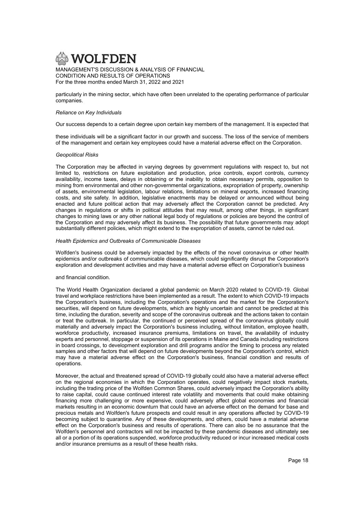

particularly in the mining sector, which have often been unrelated to the operating performance of particular companies.

## Reliance on Key Individuals

Our success depends to a certain degree upon certain key members of the management. It is expected that

these individuals will be a significant factor in our growth and success. The loss of the service of members of the management and certain key employees could have a material adverse effect on the Corporation.

#### Geopolitical Risks

The Corporation may be affected in varying degrees by government regulations with respect to, but not limited to, restrictions on future exploitation and production, price controls, export controls, currency availability, income taxes, delays in obtaining or the inability to obtain necessary permits, opposition to mining from environmental and other non-governmental organizations, expropriation of property, ownership of assets, environmental legislation, labour relations, limitations on mineral exports, increased financing costs, and site safety. In addition, legislative enactments may be delayed or announced without being enacted and future political action that may adversely affect the Corporation cannot be predicted. Any changes in regulations or shifts in political attitudes that may result, among other things, in significant changes to mining laws or any other national legal body of regulations or policies are beyond the control of the Corporation and may adversely affect its business. The possibility that future governments may adopt substantially different policies, which might extend to the expropriation of assets, cannot be ruled out.

## Health Epidemics and Outbreaks of Communicable Diseases

Wolfden's business could be adversely impacted by the effects of the novel coronavirus or other health epidemics and/or outbreaks of communicable diseases, which could significantly disrupt the Corporation's exploration and development activities and may have a material adverse effect on Corporation's business

## and financial condition.

The World Health Organization declared a global pandemic on March 2020 related to COVID-19. Global travel and workplace restrictions have been implemented as a result. The extent to which COVID-19 impacts the Corporation's business, including the Corporation's operations and the market for the Corporation's securities, will depend on future developments, which are highly uncertain and cannot be predicted at this time, including the duration, severity and scope of the coronavirus outbreak and the actions taken to contain or treat the outbreak. In particular, the continued or perceived spread of the coronavirus globally could materially and adversely impact the Corporation's business including, without limitation, employee health, workforce productivity, increased insurance premiums, limitations on travel, the availability of industry experts and personnel, stoppage or suspension of its operations in Maine and Canada including restrictions in board crossings, to development exploration and drill programs and/or the timing to process any related samples and other factors that will depend on future developments beyond the Corporation's control, which may have a material adverse effect on the Corporation's business, financial condition and results of operations.

Moreover, the actual and threatened spread of COVID-19 globally could also have a material adverse effect on the regional economies in which the Corporation operates, could negatively impact stock markets, including the trading price of the Wolfden Common Shares, could adversely impact the Corporation's ability to raise capital, could cause continued interest rate volatility and movements that could make obtaining financing more challenging or more expensive, could adversely affect global economies and financial markets resulting in an economic downturn that could have an adverse effect on the demand for base and precious metals and Wolfden's future prospects and could result in any operations affected by COVID-19 becoming subject to quarantine. Any of these developments, and others, could have a material adverse effect on the Corporation's business and results of operations. There can also be no assurance that the Wolfden's personnel and contractors will not be impacted by these pandemic diseases and ultimately see all or a portion of its operations suspended, workforce productivity reduced or incur increased medical costs and/or insurance premiums as a result of these health risks.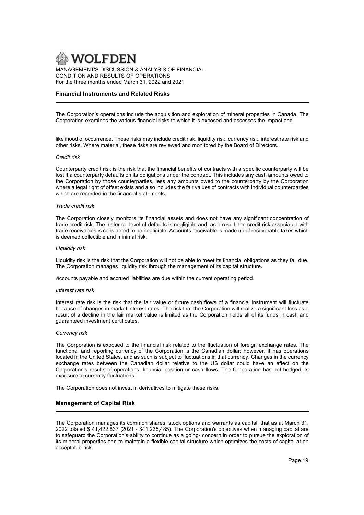

# Financial Instruments and Related Risks

The Corporation's operations include the acquisition and exploration of mineral properties in Canada. The Corporation examines the various financial risks to which it is exposed and assesses the impact and

likelihood of occurrence. These risks may include credit risk, liquidity risk, currency risk, interest rate risk and other risks. Where material, these risks are reviewed and monitored by the Board of Directors.

#### Credit risk

Counterparty credit risk is the risk that the financial benefits of contracts with a specific counterparty will be lost if a counterparty defaults on its obligations under the contract. This includes any cash amounts owed to the Corporation by those counterparties, less any amounts owed to the counterparty by the Corporation where a legal right of offset exists and also includes the fair values of contracts with individual counterparties which are recorded in the financial statements.

#### Trade credit risk

The Corporation closely monitors its financial assets and does not have any significant concentration of trade credit risk. The historical level of defaults is negligible and, as a result, the credit risk associated with trade receivables is considered to be negligible. Accounts receivable is made up of recoverable taxes which is deemed collectible and minimal risk.

#### Liquidity risk

Liquidity risk is the risk that the Corporation will not be able to meet its financial obligations as they fall due. The Corporation manages liquidity risk through the management of its capital structure.

Accounts payable and accrued liabilities are due within the current operating period.

#### Interest rate risk

Interest rate risk is the risk that the fair value or future cash flows of a financial instrument will fluctuate because of changes in market interest rates. The risk that the Corporation will realize a significant loss as a result of a decline in the fair market value is limited as the Corporation holds all of its funds in cash and guaranteed investment certificates.

#### Currency risk

The Corporation is exposed to the financial risk related to the fluctuation of foreign exchange rates. The functional and reporting currency of the Corporation is the Canadian dollar; however, it has operations located in the United States, and as such is subject to fluctuations in that currency. Changes in the currency exchange rates between the Canadian dollar relative to the US dollar could have an effect on the Corporation's results of operations, financial position or cash flows. The Corporation has not hedged its exposure to currency fluctuations.

The Corporation does not invest in derivatives to mitigate these risks.

## Management of Capital Risk

The Corporation manages its common shares, stock options and warrants as capital, that as at March 31, 2022 totaled \$ 41,422,837 (2021 - \$41,235,485). The Corporation's objectives when managing capital are to safeguard the Corporation's ability to continue as a going- concern in order to pursue the exploration of its mineral properties and to maintain a flexible capital structure which optimizes the costs of capital at an acceptable risk.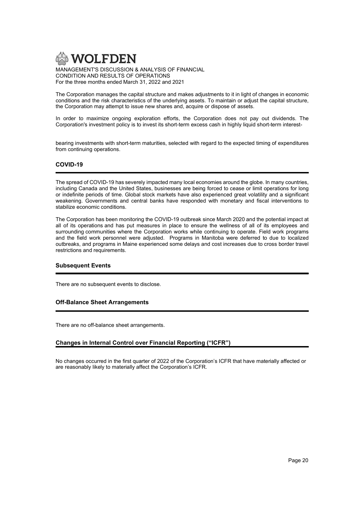

The Corporation manages the capital structure and makes adjustments to it in light of changes in economic conditions and the risk characteristics of the underlying assets. To maintain or adjust the capital structure, the Corporation may attempt to issue new shares and, acquire or dispose of assets.

In order to maximize ongoing exploration efforts, the Corporation does not pay out dividends. The Corporation's investment policy is to invest its short-term excess cash in highly liquid short-term interest-

bearing investments with short-term maturities, selected with regard to the expected timing of expenditures from continuing operations.

# COVID-19

The spread of COVID-19 has severely impacted many local economies around the globe. In many countries, including Canada and the United States, businesses are being forced to cease or limit operations for long or indefinite periods of time. Global stock markets have also experienced great volatility and a significant weakening. Governments and central banks have responded with monetary and fiscal interventions to stabilize economic conditions.

The Corporation has been monitoring the COVID-19 outbreak since March 2020 and the potential impact at all of its operations and has put measures in place to ensure the wellness of all of its employees and surrounding communities where the Corporation works while continuing to operate. Field work programs and the field work personnel were adjusted. Programs in Manitoba were deferred to due to localized outbreaks, and programs in Maine experienced some delays and cost increases due to cross border travel restrictions and requirements.

# Subsequent Events

There are no subsequent events to disclose.

# Off-Balance Sheet Arrangements

There are no off-balance sheet arrangements.

# Changes in Internal Control over Financial Reporting ("ICFR")

No changes occurred in the first quarter of 2022 of the Corporation's ICFR that have materially affected or are reasonably likely to materially affect the Corporation's ICFR.